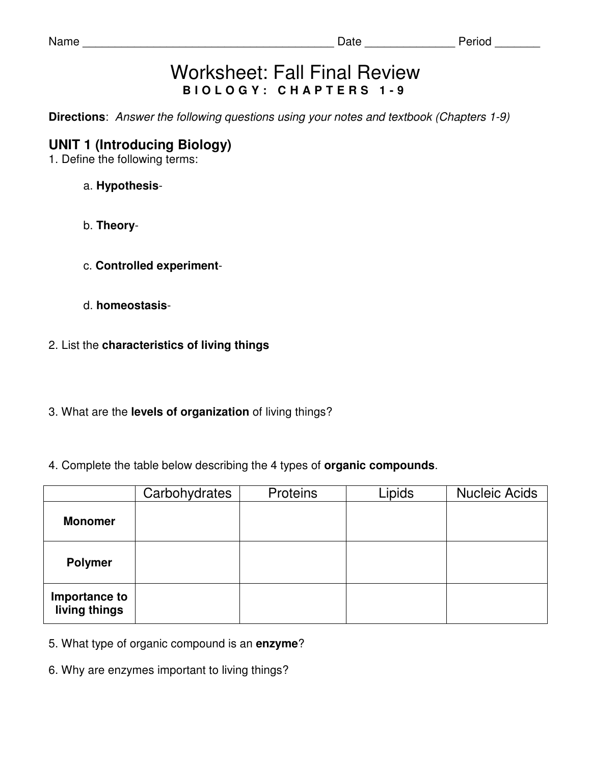| ſΤ<br>э<br>٠ |
|--------------|
|--------------|

# Worksheet: Fall Final Review **B I O L O G Y : C H A P T E R S 1 - 9**

**Directions**: Answer the following questions using your notes and textbook (Chapters 1-9)

# **UNIT 1 (Introducing Biology)**

1. Define the following terms:

- a. **Hypothesis**-
- b. **Theory**-
- c. **Controlled experiment**-
- d. **homeostasis**-
- 2. List the **characteristics of living things**
- 3. What are the **levels of organization** of living things?
- 4. Complete the table below describing the 4 types of **organic compounds**.

|                                | Carbohydrates | <b>Proteins</b> | Lipids | <b>Nucleic Acids</b> |
|--------------------------------|---------------|-----------------|--------|----------------------|
| <b>Monomer</b>                 |               |                 |        |                      |
| <b>Polymer</b>                 |               |                 |        |                      |
| Importance to<br>living things |               |                 |        |                      |

- 5. What type of organic compound is an **enzyme**?
- 6. Why are enzymes important to living things?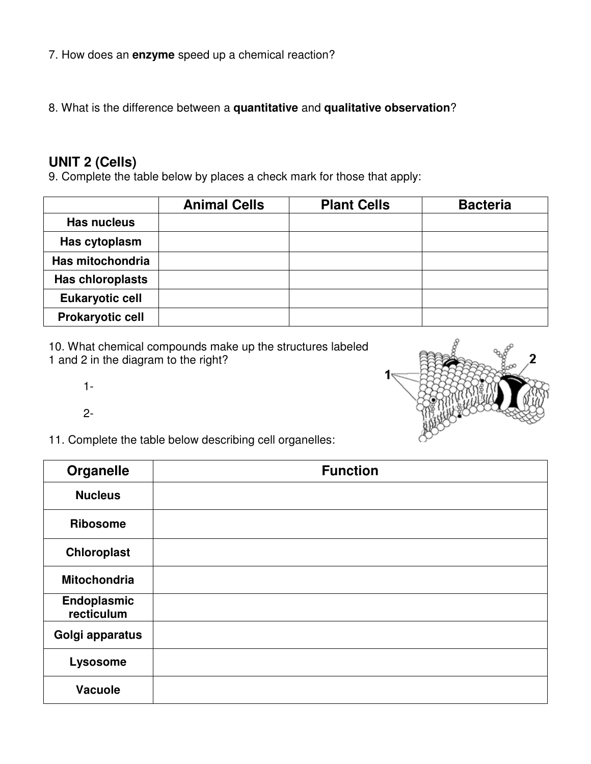- 7. How does an **enzyme** speed up a chemical reaction?
- 8. What is the difference between a **quantitative** and **qualitative observation**?

## **UNIT 2 (Cells)**

9. Complete the table below by places a check mark for those that apply:

|                         | <b>Animal Cells</b> | <b>Plant Cells</b> | <b>Bacteria</b> |
|-------------------------|---------------------|--------------------|-----------------|
| <b>Has nucleus</b>      |                     |                    |                 |
| Has cytoplasm           |                     |                    |                 |
| Has mitochondria        |                     |                    |                 |
| <b>Has chloroplasts</b> |                     |                    |                 |
| <b>Eukaryotic cell</b>  |                     |                    |                 |
| <b>Prokaryotic cell</b> |                     |                    |                 |

10. What chemical compounds make up the structures labeled 1 and 2 in the diagram to the right?



1-

2-

11. Complete the table below describing cell organelles:

| <b>Organelle</b>          | <b>Function</b> |
|---------------------------|-----------------|
| <b>Nucleus</b>            |                 |
| <b>Ribosome</b>           |                 |
| Chloroplast               |                 |
| <b>Mitochondria</b>       |                 |
| Endoplasmic<br>recticulum |                 |
| Golgi apparatus           |                 |
| Lysosome                  |                 |
| <b>Vacuole</b>            |                 |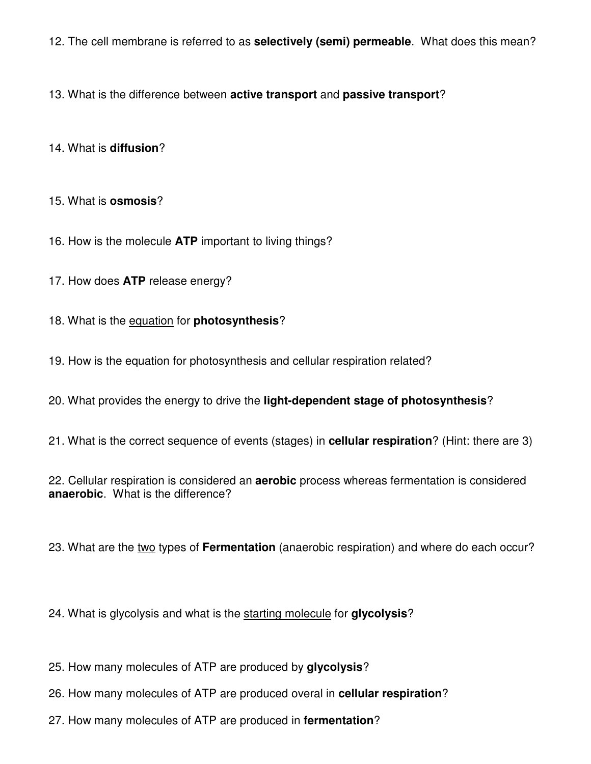12. The cell membrane is referred to as **selectively (semi) permeable**. What does this mean?

13. What is the difference between **active transport** and **passive transport**?

#### 14. What is **diffusion**?

#### 15. What is **osmosis**?

- 16. How is the molecule **ATP** important to living things?
- 17. How does **ATP** release energy?
- 18. What is the equation for **photosynthesis**?
- 19. How is the equation for photosynthesis and cellular respiration related?
- 20. What provides the energy to drive the **light-dependent stage of photosynthesis**?
- 21. What is the correct sequence of events (stages) in **cellular respiration**? (Hint: there are 3)
- 22. Cellular respiration is considered an **aerobic** process whereas fermentation is considered **anaerobic**. What is the difference?
- 23. What are the two types of **Fermentation** (anaerobic respiration) and where do each occur?
- 24. What is glycolysis and what is the starting molecule for **glycolysis**?
- 25. How many molecules of ATP are produced by **glycolysis**?
- 26. How many molecules of ATP are produced overal in **cellular respiration**?
- 27. How many molecules of ATP are produced in **fermentation**?